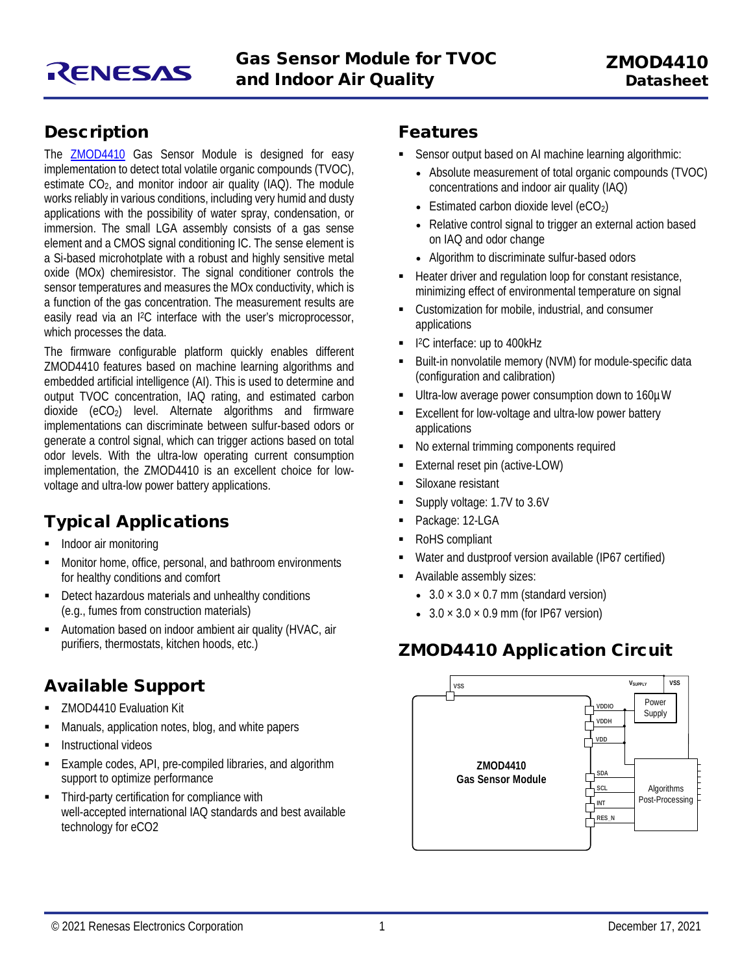

#### **Description**

The **[ZMOD4410](https://www.renesas.com/zmod4410)** Gas Sensor Module is designed for easy implementation to detect total volatile organic compounds (TVOC), estimate  $CO<sub>2</sub>$ , and monitor indoor air quality (IAQ). The module works reliably in various conditions, including very humid and dusty applications with the possibility of water spray, condensation, or immersion. The small LGA assembly consists of a gas sense element and a CMOS signal conditioning IC. The sense element is a Si-based microhotplate with a robust and highly sensitive metal oxide (MOx) chemiresistor. The signal conditioner controls the sensor temperatures and measures the MOx conductivity, which is a function of the gas concentration. The measurement results are easily read via an I2C interface with the user's microprocessor, which processes the data.

The firmware configurable platform quickly enables different ZMOD4410 features based on machine learning algorithms and embedded artificial intelligence (AI). This is used to determine and output TVOC concentration, IAQ rating, and estimated carbon dioxide  $(eCO<sub>2</sub>)$  level. Alternate algorithms and firmware implementations can discriminate between sulfur-based odors or generate a control signal, which can trigger actions based on total odor levels. With the ultra-low operating current consumption implementation, the ZMOD4410 is an excellent choice for lowvoltage and ultra-low power battery applications.

#### Typical Applications

- Indoor air monitoring
- Monitor home, office, personal, and bathroom environments for healthy conditions and comfort
- Detect hazardous materials and unhealthy conditions (e.g., fumes from construction materials)
- Automation based on indoor ambient air quality (HVAC, air purifiers, thermostats, kitchen hoods, etc.)

#### Available Support

- ZMOD4410 Evaluation Kit
- Manuals, application notes, blog, and white papers
- **Instructional videos**
- Example codes, API, pre-compiled libraries, and algorithm support to optimize performance
- **Third-party certification for compliance with** well-accepted international IAQ standards and best available technology for eCO2

#### Features

- Sensor output based on AI machine learning algorithmic:
	- Absolute measurement of total organic compounds (TVOC) concentrations and indoor air quality (IAQ)
	- Estimated carbon dioxide level  $(eCO<sub>2</sub>)$
	- Relative control signal to trigger an external action based on IAQ and odor change
	- Algorithm to discriminate sulfur-based odors
- Heater driver and regulation loop for constant resistance, minimizing effect of environmental temperature on signal
- Customization for mobile, industrial, and consumer applications
- 1<sup>2</sup>C interface: up to 400kHz
- Built-in nonvolatile memory (NVM) for module-specific data (configuration and calibration)
- Ultra-low average power consumption down to 160µW
- Excellent for low-voltage and ultra-low power battery applications
- No external trimming components required
- External reset pin (active-LOW)
- Siloxane resistant
- Supply voltage: 1.7V to 3.6V
- Package: 12-LGA
- RoHS compliant
- Water and dustproof version available (IP67 certified)
- Available assembly sizes:
	- $3.0 \times 3.0 \times 0.7$  mm (standard version)
	- $3.0 \times 3.0 \times 0.9$  mm (for IP67 version)

#### ZMOD4410 Application Circuit

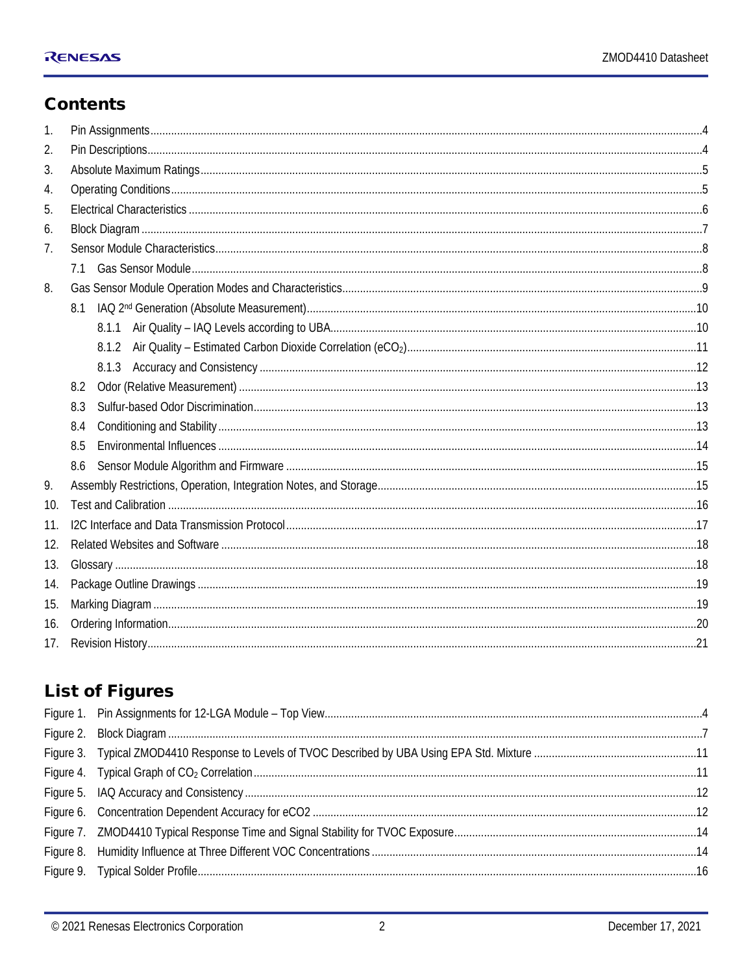#### **Contents**

| $\mathbf{1}$ . |       |  |  |  |  |
|----------------|-------|--|--|--|--|
| 2.             |       |  |  |  |  |
| 3.             |       |  |  |  |  |
| 4.             |       |  |  |  |  |
| 5.             |       |  |  |  |  |
| 6.             |       |  |  |  |  |
| 7.             |       |  |  |  |  |
|                |       |  |  |  |  |
| 8.             |       |  |  |  |  |
|                | 8.1   |  |  |  |  |
|                | 8.1.1 |  |  |  |  |
|                | 8.1.2 |  |  |  |  |
|                |       |  |  |  |  |
|                | 8.2   |  |  |  |  |
|                | 8.3   |  |  |  |  |
|                | 8.4   |  |  |  |  |
|                | 8.5   |  |  |  |  |
|                | 8.6   |  |  |  |  |
| 9.             |       |  |  |  |  |
| 10.            |       |  |  |  |  |
| 11.            |       |  |  |  |  |
| 12.            |       |  |  |  |  |
| 13.            |       |  |  |  |  |
| 14.            |       |  |  |  |  |
| 15.            |       |  |  |  |  |
| 16.            |       |  |  |  |  |
| 17.            |       |  |  |  |  |

#### **List of Figures**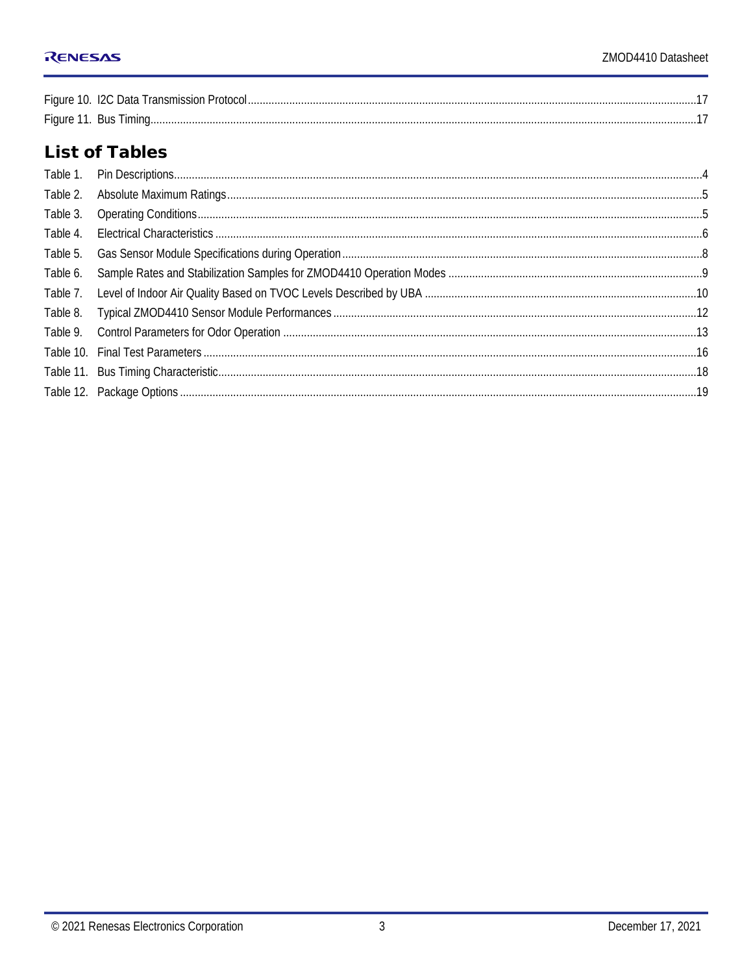| Figure 11. Bus Timing. |  |
|------------------------|--|

#### **List of Tables**

| Table 2. |  |
|----------|--|
| Table 3. |  |
| Table 4. |  |
| Table 5. |  |
| Table 6. |  |
| Table 7. |  |
| Table 8. |  |
| Table 9. |  |
|          |  |
|          |  |
|          |  |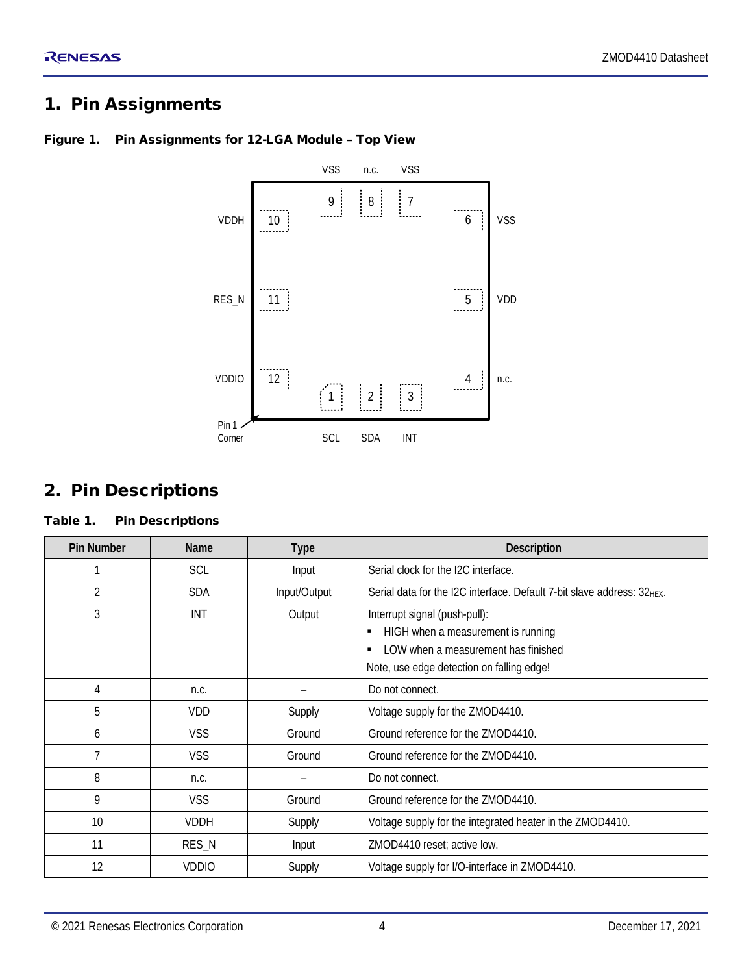#### <span id="page-3-0"></span>1. Pin Assignments



#### <span id="page-3-2"></span>Figure 1. Pin Assignments for 12-LGA Module – Top View

#### <span id="page-3-1"></span>2. Pin Descriptions

#### <span id="page-3-3"></span>Table 1. Pin Descriptions

| <b>Pin Number</b> | Name         | <b>Type</b>  | Description                                                                                                                                             |  |
|-------------------|--------------|--------------|---------------------------------------------------------------------------------------------------------------------------------------------------------|--|
|                   | <b>SCL</b>   | Input        | Serial clock for the I2C interface.                                                                                                                     |  |
| $\overline{2}$    | <b>SDA</b>   | Input/Output | Serial data for the I2C interface. Default 7-bit slave address: 32HEX.                                                                                  |  |
| 3                 | <b>INT</b>   | Output       | Interrupt signal (push-pull):<br>HIGH when a measurement is running<br>LOW when a measurement has finished<br>Note, use edge detection on falling edge! |  |
| 4                 | n.c.         |              | Do not connect.                                                                                                                                         |  |
| 5                 | VDD          | Supply       | Voltage supply for the ZMOD4410.                                                                                                                        |  |
| 6                 | <b>VSS</b>   | Ground       | Ground reference for the ZMOD4410.                                                                                                                      |  |
| 7                 | VSS          | Ground       | Ground reference for the ZMOD4410.                                                                                                                      |  |
| 8                 | n.c.         |              | Do not connect.                                                                                                                                         |  |
| 9                 | <b>VSS</b>   | Ground       | Ground reference for the ZMOD4410.                                                                                                                      |  |
| 10                | <b>VDDH</b>  | Supply       | Voltage supply for the integrated heater in the ZMOD4410.                                                                                               |  |
| 11                | RES_N        | Input        | ZMOD4410 reset; active low.                                                                                                                             |  |
| 12                | <b>VDDIO</b> | Supply       | Voltage supply for I/O-interface in ZMOD4410.                                                                                                           |  |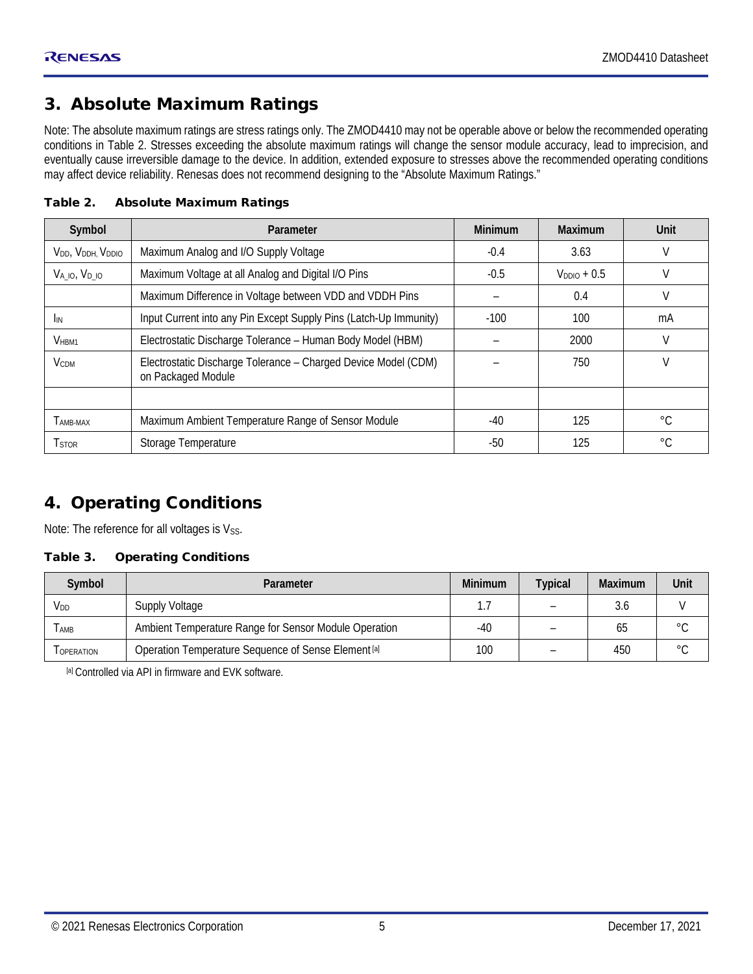#### <span id="page-4-0"></span>3. Absolute Maximum Ratings

Note: The absolute maximum ratings are stress ratings only. The ZMOD4410 may not be operable above or below the recommended operating conditions in [Table 2.](#page-4-2) Stresses exceeding the absolute maximum ratings will change the sensor module accuracy, lead to imprecision, and eventually cause irreversible damage to the device. In addition, extended exposure to stresses above the recommended operating conditions may affect device reliability. Renesas does not recommend designing to the "Absolute Maximum Ratings."

| Symbol                   | Parameter                                                                            | <b>Minimum</b> | <b>Maximum</b> | Unit        |
|--------------------------|--------------------------------------------------------------------------------------|----------------|----------------|-------------|
| VDD, VDDH, VDDIO         | Maximum Analog and I/O Supply Voltage                                                | $-0.4$         | 3.63           | V           |
| VA 10, VD 10             | Maximum Voltage at all Analog and Digital I/O Pins                                   | $-0.5$         | $VDDO + 0.5$   | V           |
|                          | Maximum Difference in Voltage between VDD and VDDH Pins                              |                | 0.4            | V           |
| <b>I</b> IN              | Input Current into any Pin Except Supply Pins (Latch-Up Immunity)                    | $-100$         | 100            | mA          |
| V <sub>HBM1</sub>        | Electrostatic Discharge Tolerance - Human Body Model (HBM)                           |                | 2000           | V           |
| <b>V</b> <sub>CDM</sub>  | Electrostatic Discharge Tolerance - Charged Device Model (CDM)<br>on Packaged Module |                | 750            | V           |
|                          |                                                                                      |                |                |             |
| TAMB-MAX                 | Maximum Ambient Temperature Range of Sensor Module                                   | $-40$          | 125            | $^{\circ}C$ |
| <b>T</b> <sub>STOR</sub> | Storage Temperature                                                                  | $-50$          | 125            | $^{\circ}C$ |

<span id="page-4-2"></span>Table 2. Absolute Maximum Ratings

#### <span id="page-4-1"></span>4. Operating Conditions

Note: The reference for all voltages is  $V_{SS}$ .

#### <span id="page-4-3"></span>Table 3. Operating Conditions

| Symbol           | Parameter                                                      |       | <b>Typical</b> | <b>Maximum</b> | Unit           |
|------------------|----------------------------------------------------------------|-------|----------------|----------------|----------------|
| V <sub>DD</sub>  | <b>Supply Voltage</b>                                          |       |                |                |                |
| <b>AMB</b>       | Ambient Temperature Range for Sensor Module Operation          | $-40$ |                | ხე             | $\circ$ $\cap$ |
| <b>OPERATION</b> | Operation Temperature Sequence of Sense Element <sup>[a]</sup> | 100   |                | 450            | $\circ$        |

<span id="page-4-4"></span>[a] Controlled via API in firmware and EVK software.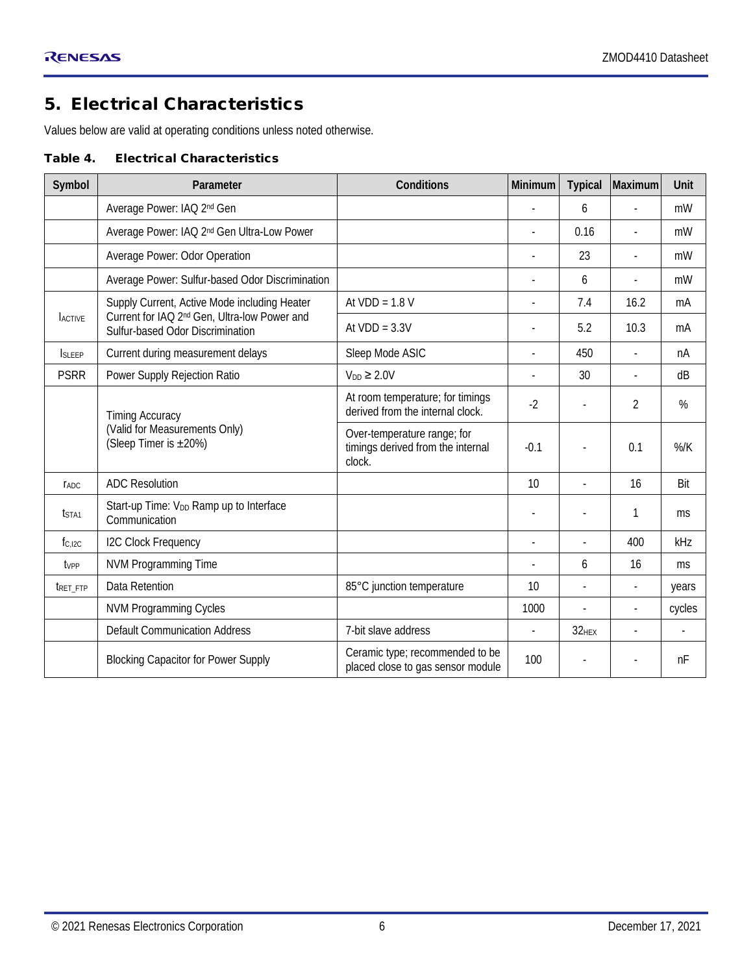#### <span id="page-5-0"></span>5. Electrical Characteristics

Values below are valid at operating conditions unless noted otherwise.

#### <span id="page-5-1"></span>Table 4. Electrical Characteristics

| Symbol            | Parameter                                                                                    | Conditions                                                                 | Minimum | <b>Typical</b>           | Maximum                  | Unit           |
|-------------------|----------------------------------------------------------------------------------------------|----------------------------------------------------------------------------|---------|--------------------------|--------------------------|----------------|
|                   | Average Power: IAQ 2 <sup>nd</sup> Gen                                                       |                                                                            |         | 6                        |                          | mW             |
|                   | Average Power: IAQ 2 <sup>nd</sup> Gen Ultra-Low Power                                       |                                                                            |         | 0.16                     | $\overline{a}$           | mW             |
|                   | Average Power: Odor Operation                                                                |                                                                            |         | 23                       | $\overline{a}$           | mW             |
|                   | Average Power: Sulfur-based Odor Discrimination                                              |                                                                            |         | 6                        |                          | mW             |
|                   | Supply Current, Active Mode including Heater                                                 | At $VDD = 1.8 V$                                                           |         | 7.4                      | 16.2                     | mA             |
| <b>ACTIVE</b>     | Current for IAQ 2 <sup>nd</sup> Gen, Ultra-low Power and<br>Sulfur-based Odor Discrimination | At $VDD = 3.3V$                                                            |         | 5.2                      | 10.3                     | mA             |
| <b>SIFFP</b>      | Current during measurement delays                                                            | Sleep Mode ASIC                                                            |         | 450                      | $\overline{a}$           | nA             |
| <b>PSRR</b>       | Power Supply Rejection Ratio                                                                 | $V_{DD} \geq 2.0V$                                                         |         | 30                       |                          | dB             |
|                   | <b>Timing Accuracy</b>                                                                       | At room temperature; for timings<br>derived from the internal clock.       | $-2$    |                          | 2                        | %              |
|                   | (Valid for Measurements Only)<br>(Sleep Timer is ±20%)                                       | Over-temperature range; for<br>timings derived from the internal<br>clock. | $-0.1$  |                          | 0.1                      | $%$ /K         |
| <b>TADC</b>       | <b>ADC Resolution</b>                                                                        |                                                                            | 10      |                          | 16                       | Bit            |
| t <sub>STA1</sub> | Start-up Time: V <sub>DD</sub> Ramp up to Interface<br>Communication                         |                                                                            |         |                          | 1                        | ms             |
| fc.ipc            | <b>I2C Clock Frequency</b>                                                                   |                                                                            |         | $\overline{\phantom{a}}$ | 400                      | kHz            |
| tvpp              | <b>NVM Programming Time</b>                                                                  |                                                                            |         | 6                        | 16                       | ms             |
| TRET FTP          | Data Retention                                                                               | 85°C junction temperature                                                  | 10      | $\overline{a}$           |                          | years          |
|                   | <b>NVM Programming Cycles</b>                                                                |                                                                            | 1000    | $\overline{\phantom{a}}$ | $\overline{\phantom{a}}$ | cycles         |
|                   | <b>Default Communication Address</b>                                                         | 7-bit slave address                                                        |         | $32$ <sub>HEX</sub>      | $\overline{a}$           | $\blacksquare$ |
|                   | <b>Blocking Capacitor for Power Supply</b>                                                   | Ceramic type; recommended to be<br>placed close to gas sensor module       | 100     |                          |                          | nF             |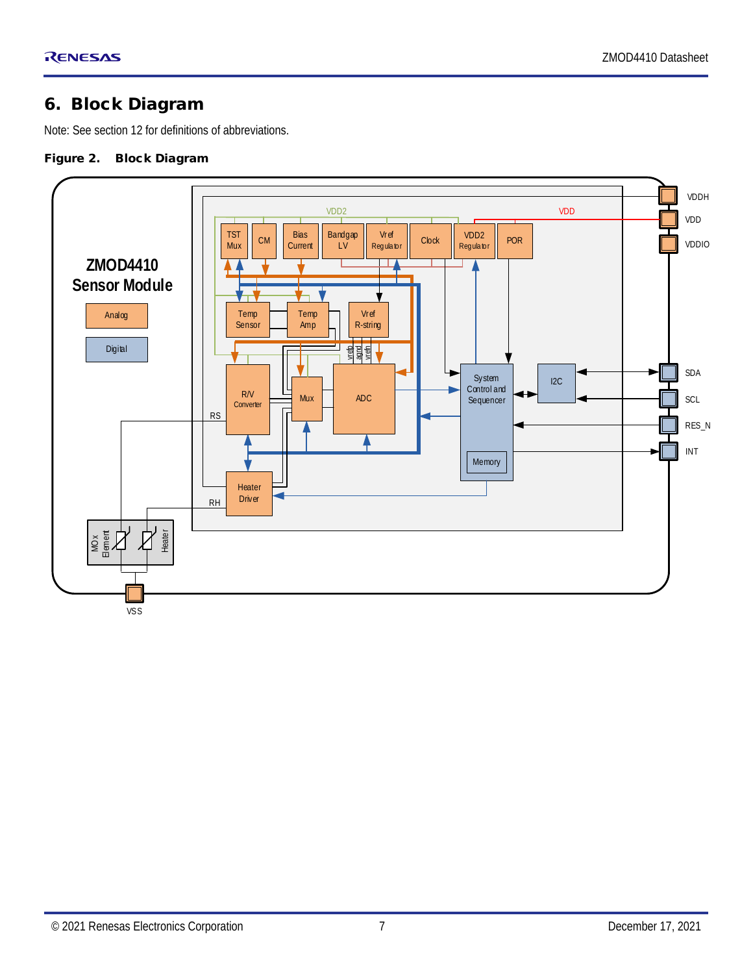#### <span id="page-6-0"></span>6. Block Diagram

Note: See section [12](#page-17-0) for definitions of abbreviations.

#### <span id="page-6-1"></span>Figure 2. Block Diagram

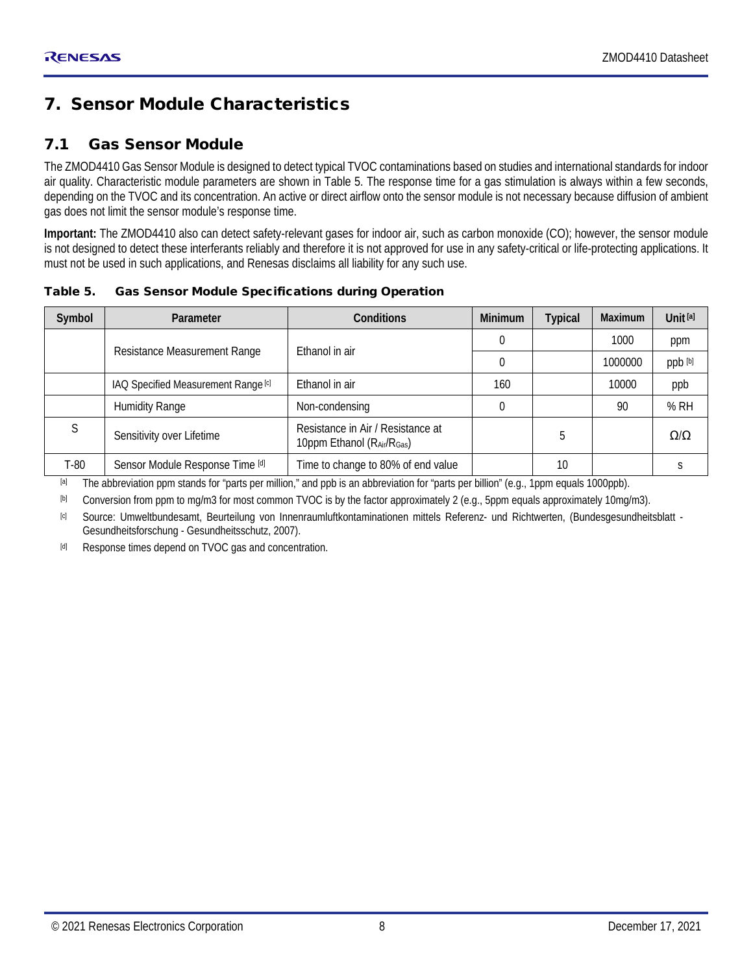#### <span id="page-7-0"></span>7. Sensor Module Characteristics

#### <span id="page-7-1"></span>7.1 Gas Sensor Module

The ZMOD4410 Gas Sensor Module is designed to detect typical TVOC contaminations based on studies and international standards for indoor air quality. Characteristic module parameters are shown in [Table 5.](#page-7-2) The response time for a gas stimulation is always within a few seconds, depending on the TVOC and its concentration. An active or direct airflow onto the sensor module is not necessary because diffusion of ambient gas does not limit the sensor module's response time.

**Important:** The ZMOD4410 also can detect safety-relevant gases for indoor air, such as carbon monoxide (CO); however, the sensor module is not designed to detect these interferants reliably and therefore it is not approved for use in any safety-critical or life-protecting applications. It must not be used in such applications, and Renesas disclaims all liability for any such use.

<span id="page-7-2"></span>Table 5. Gas Sensor Module Specifications during Operation

| Symbol | Parameter                           | <b>Conditions</b>                                              | Minimum | <b>Typical</b> | <b>Maximum</b> | Unit [a]        |
|--------|-------------------------------------|----------------------------------------------------------------|---------|----------------|----------------|-----------------|
|        |                                     | Ethanol in air                                                 |         |                | 1000           | ppm             |
|        | Resistance Measurement Range        |                                                                |         |                | 1000000        | ppb [b]         |
|        | IAQ Specified Measurement Range [c] | Ethanol in air                                                 | 160     |                | 10000          | ppb             |
|        | <b>Humidity Range</b>               | Non-condensing                                                 |         |                | 90             | %RH             |
|        | Sensitivity over Lifetime           | Resistance in Air / Resistance at<br>10ppm Ethanol (RAir/RGas) |         | b              |                | $\Omega/\Omega$ |
| T-80   | Sensor Module Response Time [d]     | Time to change to 80% of end value                             |         | 10             |                |                 |

<span id="page-7-3"></span>[a] The abbreviation ppm stands for "parts per million," and ppb is an abbreviation for "parts per billion" (e.g., 1ppm equals 1000ppb).

<span id="page-7-4"></span>[b] Conversion from ppm to mg/m3 for most common TVOC is by the factor approximately 2 (e.g., 5ppm equals approximately 10mg/m3).

<span id="page-7-5"></span>[c] Source: Umweltbundesamt, Beurteilung von Innenraumluftkontaminationen mittels Referenz- und Richtwerten, (Bundesgesundheitsblatt - Gesundheitsforschung - Gesundheitsschutz, 2007).

<span id="page-7-6"></span>[d] Response times depend on TVOC gas and concentration.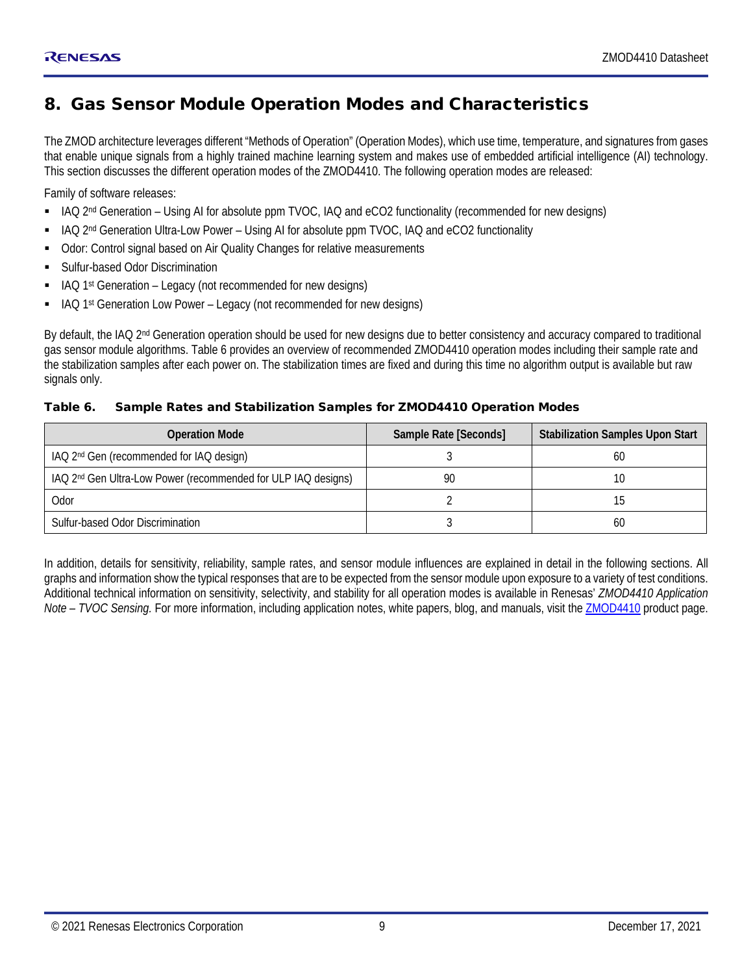#### <span id="page-8-0"></span>8. Gas Sensor Module Operation Modes and Characteristics

The ZMOD architecture leverages different "Methods of Operation" (Operation Modes), which use time, temperature, and signatures from gases that enable unique signals from a highly trained machine learning system and makes use of embedded artificial intelligence (AI) technology. This section discusses the different operation modes of the ZMOD4410. The following operation modes are released:

Family of software releases:

- IAQ 2nd Generation Using AI for absolute ppm TVOC, IAQ and eCO2 functionality (recommended for new designs)
- IAQ 2<sup>nd</sup> Generation Ultra-Low Power Using AI for absolute ppm TVOC, IAQ and eCO2 functionality
- **-** Odor: Control signal based on Air Quality Changes for relative measurements
- Sulfur-based Odor Discrimination
- IAQ 1st Generation Legacy (not recommended for new designs)
- IAQ 1st Generation Low Power Legacy (not recommended for new designs)

By default, the IAQ 2<sup>nd</sup> Generation operation should be used for new designs due to better consistency and accuracy compared to traditional gas sensor module algorithms. [Table 6](#page-8-1) provides an overview of recommended ZMOD4410 operation modes including their sample rate and the stabilization samples after each power on. The stabilization times are fixed and during this time no algorithm output is available but raw signals only.

#### <span id="page-8-1"></span>Table 6. Sample Rates and Stabilization Samples for ZMOD4410 Operation Modes

| <b>Operation Mode</b>                                                     | Sample Rate [Seconds] | <b>Stabilization Samples Upon Start</b> |
|---------------------------------------------------------------------------|-----------------------|-----------------------------------------|
| IAQ 2 <sup>nd</sup> Gen (recommended for IAQ design)                      |                       | 60                                      |
| IAQ 2 <sup>nd</sup> Gen Ultra-Low Power (recommended for ULP IAQ designs) | 90                    |                                         |
| Odor                                                                      |                       |                                         |
| Sulfur-based Odor Discrimination                                          |                       | -60                                     |

In addition, details for sensitivity, reliability, sample rates, and sensor module influences are explained in detail in the following sections. All graphs and information show the typical responses that are to be expected from the sensor module upon exposure to a variety of test conditions. Additional technical information on sensitivity, selectivity, and stability for all operation modes is available in Renesas' *ZMOD4410 Application Note – TVOC Sensing.* For more information, including application notes, white papers, blog, and manuals, visit th[e ZMOD4410](https://www.renesas.com/zmod4410) product page.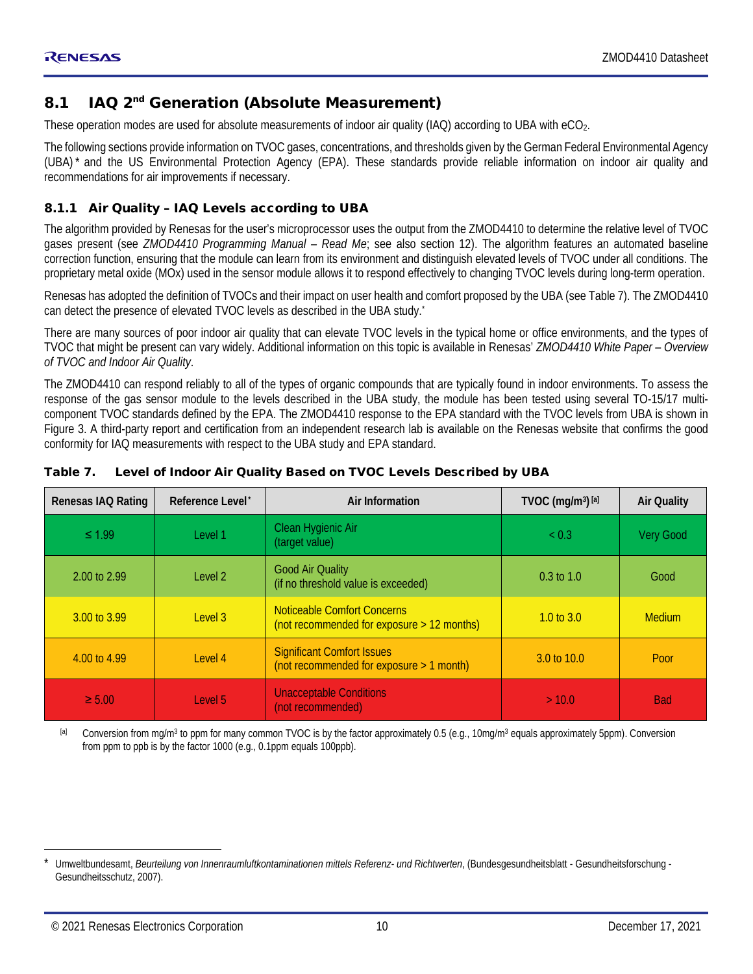#### <span id="page-9-0"></span>8.1 IAQ 2<sup>nd</sup> Generation (Absolute Measurement)

These operation modes are used for absolute measurements of indoor air quality (IAQ) according to UBA with eCO<sub>2</sub>.

<span id="page-9-3"></span>The following sections provide information on TVOC gases, concentrations, and thresholds given by the German Federal Environmental Agency (UBA) [\\*](#page-9-5) and the US Environmental Protection Agency (EPA). These standards provide reliable information on indoor air quality and recommendations for air improvements if necessary.

#### <span id="page-9-1"></span>8.1.1 Air Quality – IAQ Levels according to UBA

The algorithm provided by Renesas for the user's microprocessor uses the output from the ZMOD4410 to determine the relative level of TVOC gases present (see *ZMOD4410 Programming Manual – Read Me*; see also section [12\)](#page-17-0). The algorithm features an automated baseline correction function, ensuring that the module can learn from its environment and distinguish elevated levels of TVOC under all conditions. The proprietary metal oxide (MOx) used in the sensor module allows it to respond effectively to changing TVOC levels during long-term operation.

Renesas has adopted the definition of TVOCs and their impact on user health and comfort proposed by the UBA (see [Table 7\)](#page-9-2). The ZMOD4410 can detect the presence of elevated TVOC levels as described in the UBA study[.](#page-9-3) \*

There are many sources of poor indoor air quality that can elevate TVOC levels in the typical home or office environments, and the types of TVOC that might be present can vary widely. Additional information on this topic is available in Renesas' *ZMOD4410 White Paper – Overview of TVOC and Indoor Air Quality*.

The ZMOD4410 can respond reliably to all of the types of organic compounds that are typically found in indoor environments. To assess the response of the gas sensor module to the levels described in the UBA study, the module has been tested using several TO-15/17 multicomponent TVOC standards defined by the EPA. The ZMOD4410 response to the EPA standard with the TVOC levels from UBA is shown in [Figure 3.](#page-10-1) A third-party report and certification from an independent research lab is available on the Renesas website that confirms the good conformity for IAQ measurements with respect to the UBA study and EPA standard.

| Renesas IAQ Rating | Reference Level <sup>*</sup> | Air Information                                                                  | TVOC (mg/m <sup>3</sup> ) $[a]$ | <b>Air Quality</b> |
|--------------------|------------------------------|----------------------------------------------------------------------------------|---------------------------------|--------------------|
| $\leq 1.99$        | Level 1                      | Clean Hygienic Air<br>(target value)                                             | ~< 0.3                          | Very Good          |
| 2.00 to 2.99       | Level 2                      | <b>Good Air Quality</b><br>(if no threshold value is exceeded)                   | $0.3 \text{ to } 1.0$           | Good               |
| 3.00 to 3.99       | Level 3                      | <b>Noticeable Comfort Concerns</b><br>(not recommended for exposure > 12 months) | 1.0 to $3.0$                    | <b>Medium</b>      |
| 4.00 to 4.99       | Level 4                      | <b>Significant Comfort Issues</b><br>(not recommended for exposure $> 1$ month)  | 3.0 to 10.0                     | Poor               |
| $\geq 5.00$        | Level 5                      | <b>Unacceptable Conditions</b><br>(not recommended)                              | >10.0                           | <b>Bad</b>         |

#### <span id="page-9-2"></span>Table 7. Level of Indoor Air Quality Based on TVOC Levels Described by UBA

<span id="page-9-4"></span>[a] Conversion from mg/m<sup>3</sup> to ppm for many common TVOC is by the factor approximately 0.5 (e.g., 10mg/m<sup>3</sup> equals approximately 5ppm). Conversion from ppm to ppb is by the factor 1000 (e.g., 0.1ppm equals 100ppb).

 $\overline{a}$ 

<span id="page-9-5"></span><sup>\*</sup> Umweltbundesamt, *Beurteilung von Innenraumluftkontaminationen mittels Referenz- und Richtwerten*, (Bundesgesundheitsblatt - Gesundheitsforschung - Gesundheitsschutz, 2007).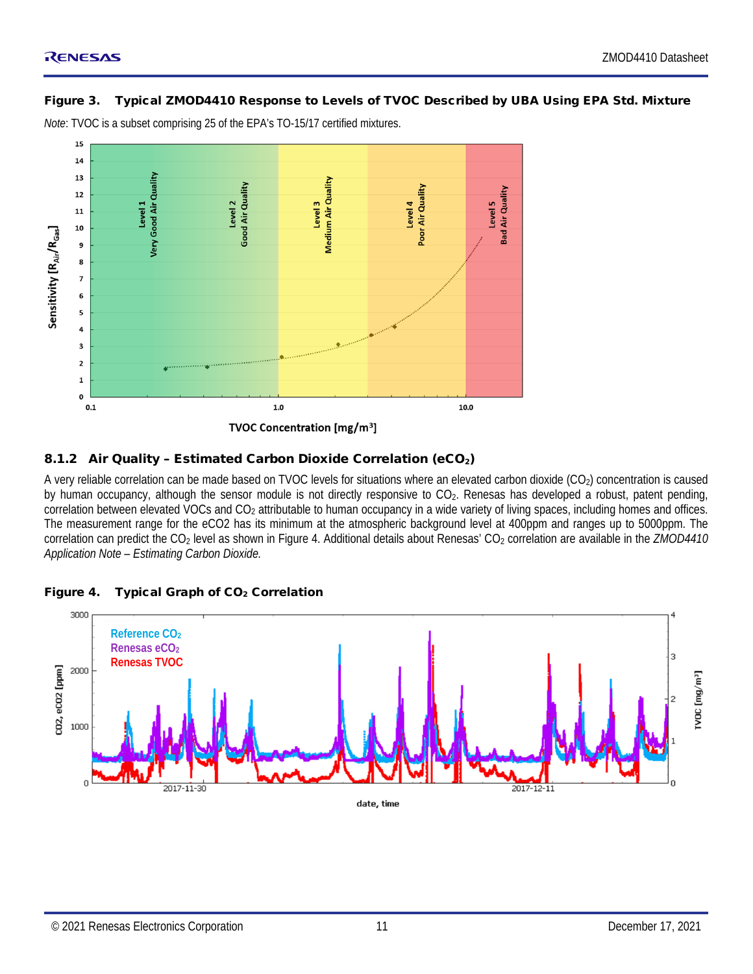#### <span id="page-10-1"></span>Figure 3. Typical ZMOD4410 Response to Levels of TVOC Described by UBA Using EPA Std. Mixture

*Note*: TVOC is a subset comprising 25 of the EPA's TO-15/17 certified mixtures.



#### <span id="page-10-0"></span>8.1.2 Air Quality - Estimated Carbon Dioxide Correlation (eCO<sub>2</sub>)

A very reliable correlation can be made based on TVOC levels for situations where an elevated carbon dioxide  $(CO<sub>2</sub>)$  concentration is caused by human occupancy, although the sensor module is not directly responsive to CO2. Renesas has developed a robust, patent pending, correlation between elevated VOCs and CO<sub>2</sub> attributable to human occupancy in a wide variety of living spaces, including homes and offices. The measurement range for the eCO2 has its minimum at the atmospheric background level at 400ppm and ranges up to 5000ppm. The correlation can predict the CO<sub>2</sub> level as shown in [Figure 4.](#page-10-2) Additional details about Renesas' CO<sub>2</sub> correlation are available in the *ZMOD4410 Application Note – Estimating Carbon Dioxide.*

<span id="page-10-2"></span>

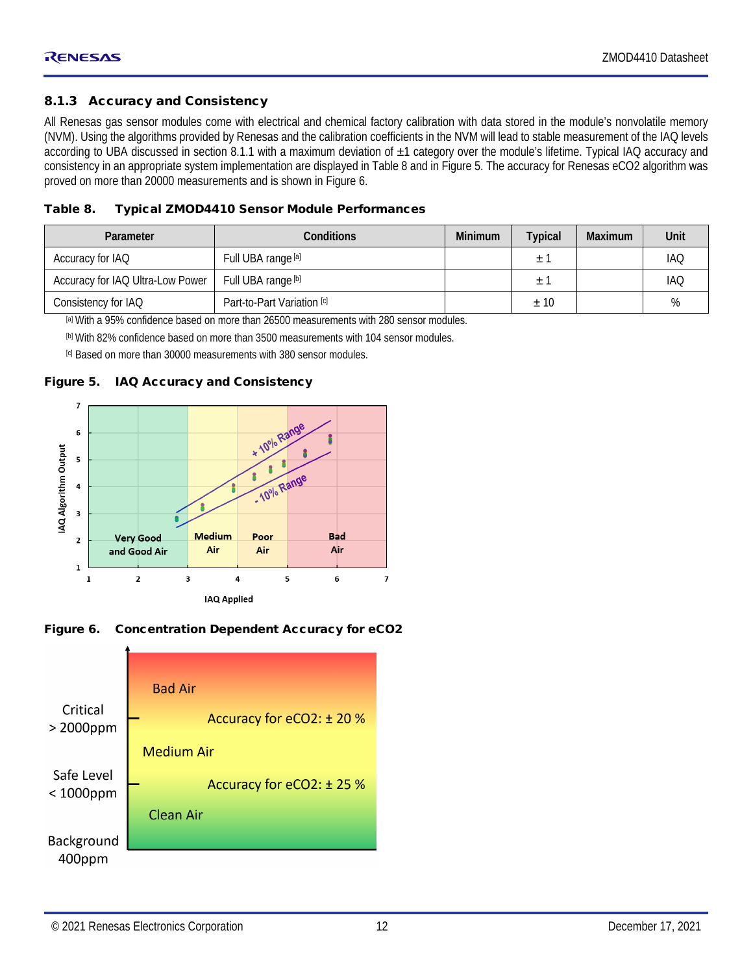#### <span id="page-11-0"></span>8.1.3 Accuracy and Consistency

All Renesas gas sensor modules come with electrical and chemical factory calibration with data stored in the module's nonvolatile memory (NVM). Using the algorithms provided by Renesas and the calibration coefficients in the NVM will lead to stable measurement of the IAQ levels according to UBA discussed in section [8.1.1](#page-9-1) with a maximum deviation of ±1 category over the module's lifetime. Typical IAQ accuracy and consistency in an appropriate system implementation are displayed in [Table 8](#page-11-3) and i[n Figure 5.](#page-11-1) The accuracy for Renesas eCO2 algorithm was proved on more than 20000 measurements and is shown in [Figure 6.](#page-11-2)

<span id="page-11-3"></span>

| Table 8. | <b>Typical ZMOD4410 Sensor Module Performances</b> |
|----------|----------------------------------------------------|
|----------|----------------------------------------------------|

| Conditions<br>Parameter          |                            | <b>Minimum</b> | <b>Typical</b> | Maximum | Unit       |
|----------------------------------|----------------------------|----------------|----------------|---------|------------|
| Accuracy for IAQ                 | Full UBA range [a]         |                |                |         | <b>IAQ</b> |
| Accuracy for IAQ Ultra-Low Power | Full UBA range [b]         |                | 土              |         | <b>IAQ</b> |
| Consistency for IAQ              | Part-to-Part Variation [c] |                | ±10            |         | %          |

<span id="page-11-4"></span>[a] With a 95% confidence based on more than 26500 measurements with 280 sensor modules.

<span id="page-11-5"></span>[b] With 82% confidence based on more than 3500 measurements with 104 sensor modules.

<span id="page-11-6"></span>[c] Based on more than 30000 measurements with 380 sensor modules.

#### <span id="page-11-1"></span>Figure 5. IAQ Accuracy and Consistency



<span id="page-11-2"></span>Figure 6. Concentration Dependent Accuracy for eCO2

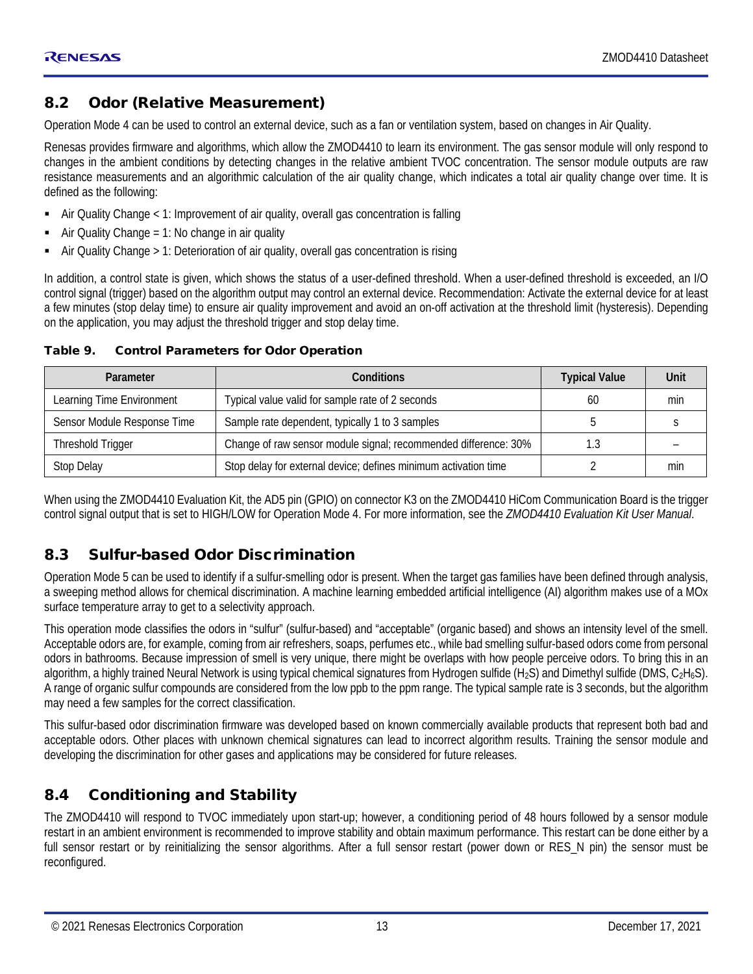#### <span id="page-12-0"></span>8.2 Odor (Relative Measurement)

Operation Mode 4 can be used to control an external device, such as a fan or ventilation system, based on changes in Air Quality.

Renesas provides firmware and algorithms, which allow the ZMOD4410 to learn its environment. The gas sensor module will only respond to changes in the ambient conditions by detecting changes in the relative ambient TVOC concentration. The sensor module outputs are raw resistance measurements and an algorithmic calculation of the air quality change, which indicates a total air quality change over time. It is defined as the following:

- Air Quality Change < 1: Improvement of air quality, overall gas concentration is falling
- Air Quality Change = 1: No change in air quality
- Air Quality Change > 1: Deterioration of air quality, overall gas concentration is rising

In addition, a control state is given, which shows the status of a user-defined threshold. When a user-defined threshold is exceeded, an I/O control signal (trigger) based on the algorithm output may control an external device. Recommendation: Activate the external device for at least a few minutes (stop delay time) to ensure air quality improvement and avoid an on-off activation at the threshold limit (hysteresis). Depending on the application, you may adjust the threshold trigger and stop delay time.

| Parameter                   | Conditions                                                      | <b>Typical Value</b> | Unit |
|-----------------------------|-----------------------------------------------------------------|----------------------|------|
| Learning Time Environment   | Typical value valid for sample rate of 2 seconds                | 60                   | min  |
| Sensor Module Response Time | Sample rate dependent, typically 1 to 3 samples                 |                      |      |
| Threshold Trigger           | Change of raw sensor module signal; recommended difference: 30% | 1.3                  |      |
| Stop Delay                  | Stop delay for external device; defines minimum activation time |                      | min  |

#### <span id="page-12-3"></span>Table 9. Control Parameters for Odor Operation

When using the ZMOD4410 Evaluation Kit, the AD5 pin (GPIO) on connector K3 on the ZMOD4410 HiCom Communication Board is the trigger control signal output that is set to HIGH/LOW for Operation Mode 4. For more information, see the *ZMOD4410 Evaluation Kit User Manual*.

#### <span id="page-12-1"></span>8.3 Sulfur-based Odor Discrimination

Operation Mode 5 can be used to identify if a sulfur-smelling odor is present. When the target gas families have been defined through analysis, a sweeping method allows for chemical discrimination. A machine learning embedded artificial intelligence (AI) algorithm makes use of a MOx surface temperature array to get to a selectivity approach.

This operation mode classifies the odors in "sulfur" (sulfur-based) and "acceptable" (organic based) and shows an intensity level of the smell. Acceptable odors are, for example, coming from air refreshers, soaps, perfumes etc., while bad smelling sulfur-based odors come from personal odors in bathrooms. Because impression of smell is very unique, there might be overlaps with how people perceive odors. To bring this in an algorithm, a highly trained Neural Network is using typical chemical signatures from Hydrogen sulfide (H<sub>2</sub>S) and Dimethyl sulfide (DMS,  $C_2H_6S$ ). A range of organic sulfur compounds are considered from the low ppb to the ppm range. The typical sample rate is 3 seconds, but the algorithm may need a few samples for the correct classification.

This sulfur-based odor discrimination firmware was developed based on known commercially available products that represent both bad and acceptable odors. Other places with unknown chemical signatures can lead to incorrect algorithm results. Training the sensor module and developing the discrimination for other gases and applications may be considered for future releases.

#### <span id="page-12-2"></span>8.4 Conditioning and Stability

The ZMOD4410 will respond to TVOC immediately upon start-up; however, a conditioning period of 48 hours followed by a sensor module restart in an ambient environment is recommended to improve stability and obtain maximum performance. This restart can be done either by a full sensor restart or by reinitializing the sensor algorithms. After a full sensor restart (power down or RES\_N pin) the sensor must be reconfigured.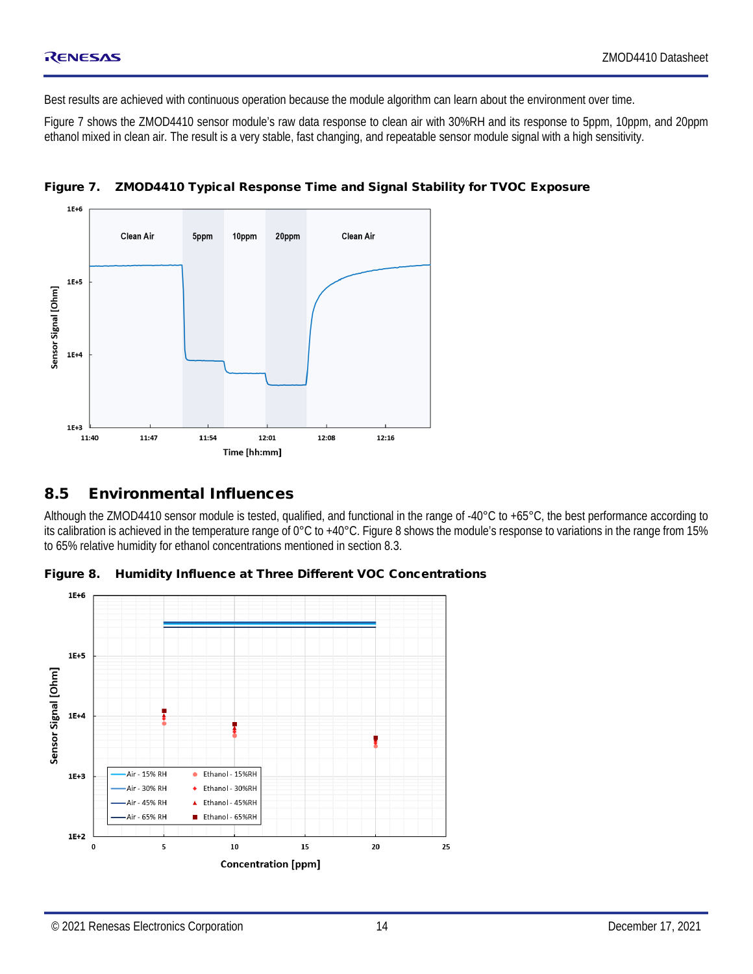Best results are achieved with continuous operation because the module algorithm can learn about the environment over time.

[Figure 7](#page-13-1) shows the ZMOD4410 sensor module's raw data response to clean air with 30%RH and its response to 5ppm, 10ppm, and 20ppm ethanol mixed in clean air. The result is a very stable, fast changing, and repeatable sensor module signal with a high sensitivity.



<span id="page-13-1"></span>Figure 7. ZMOD4410 Typical Response Time and Signal Stability for TVOC Exposure

#### <span id="page-13-0"></span>8.5 Environmental Influences

Although the ZMOD4410 sensor module is tested, qualified, and functional in the range of -40°C to +65°C, the best performance according to its calibration is achieved in the temperature range of 0°C to +40°C. [Figure 8](#page-13-2) shows the module's response to variations in the range from 15% to 65% relative humidity for ethanol concentrations mentioned in sectio[n 8.3.](#page-12-1)

<span id="page-13-2"></span>

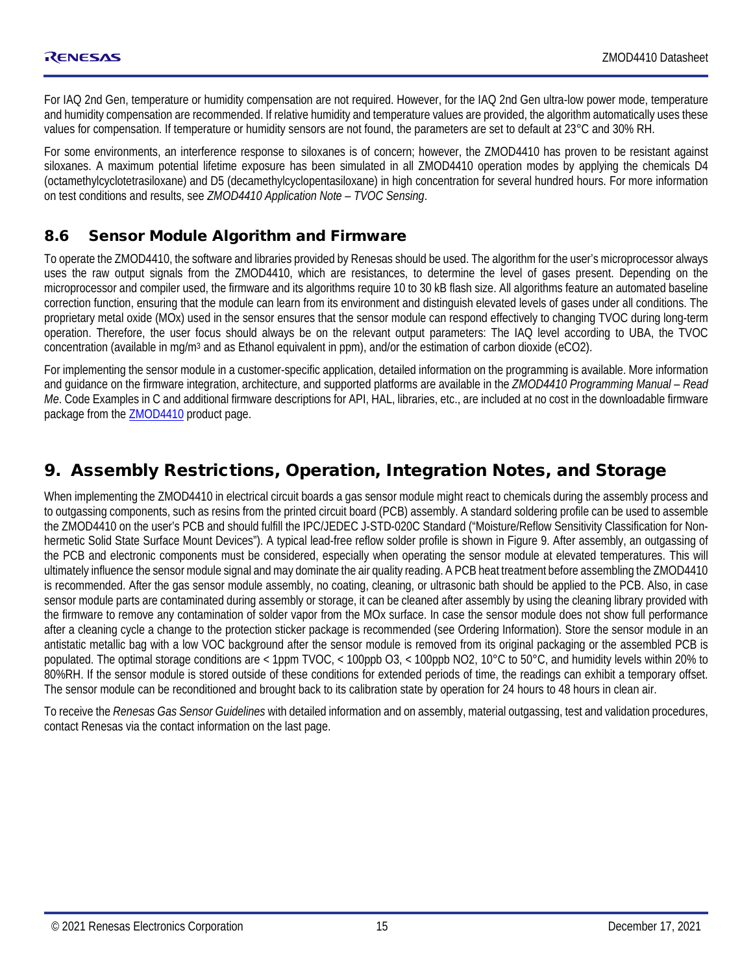For IAQ 2nd Gen, temperature or humidity compensation are not required. However, for the IAQ 2nd Gen ultra-low power mode, temperature and humidity compensation are recommended. If relative humidity and temperature values are provided, the algorithm automatically uses these values for compensation. If temperature or humidity sensors are not found, the parameters are set to default at 23°C and 30% RH.

For some environments, an interference response to siloxanes is of concern; however, the ZMOD4410 has proven to be resistant against siloxanes. A maximum potential lifetime exposure has been simulated in all ZMOD4410 operation modes by applying the chemicals D4 (octamethylcyclotetrasiloxane) and D5 (decamethylcyclopentasiloxane) in high concentration for several hundred hours. For more information on test conditions and results, see *ZMOD4410 Application Note – TVOC Sensing*.

#### <span id="page-14-0"></span>8.6 Sensor Module Algorithm and Firmware

To operate the ZMOD4410, the software and libraries provided by Renesas should be used. The algorithm for the user's microprocessor always uses the raw output signals from the ZMOD4410, which are resistances, to determine the level of gases present. Depending on the microprocessor and compiler used, the firmware and its algorithms require 10 to 30 kB flash size. All algorithms feature an automated baseline correction function, ensuring that the module can learn from its environment and distinguish elevated levels of gases under all conditions. The proprietary metal oxide (MOx) used in the sensor ensures that the sensor module can respond effectively to changing TVOC during long-term operation. Therefore, the user focus should always be on the relevant output parameters: The IAQ level according to UBA, the TVOC concentration (available in mg/m3 and as Ethanol equivalent in ppm), and/or the estimation of carbon dioxide (eCO2).

For implementing the sensor module in a customer-specific application, detailed information on the programming is available. More information and guidance on the firmware integration, architecture, and supported platforms are available in the *ZMOD4410 Programming Manual – Read Me*. Code Examples in C and additional firmware descriptions for API, HAL, libraries, etc., are included at no cost in the downloadable firmware package from the [ZMOD4410](https://www.renesas.com/zmod4410) product page.

#### <span id="page-14-1"></span>9. Assembly Restrictions, Operation, Integration Notes, and Storage

When implementing the ZMOD4410 in electrical circuit boards a gas sensor module might react to chemicals during the assembly process and to outgassing components, such as resins from the printed circuit board (PCB) assembly. A standard soldering profile can be used to assemble the ZMOD4410 on the user's PCB and should fulfill the IPC/JEDEC J-STD-020C Standard ("Moisture/Reflow Sensitivity Classification for Nonhermetic Solid State Surface Mount Devices"). A typical lead-free reflow solder profile is shown in [Figure 9.](#page-15-1) After assembly, an outgassing of the PCB and electronic components must be considered, especially when operating the sensor module at elevated temperatures. This will ultimately influence the sensor module signal and may dominate the air quality reading. A PCB heat treatment before assembling the ZMOD4410 is recommended. After the gas sensor module assembly, no coating, cleaning, or ultrasonic bath should be applied to the PCB. Also, in case sensor module parts are contaminated during assembly or storage, it can be cleaned after assembly by using the cleaning library provided with the firmware to remove any contamination of solder vapor from the MOx surface. In case the sensor module does not show full performance after a cleaning cycle a change to the protection sticker package is recommended (see [Ordering Information\)](#page-19-0). Store the sensor module in an antistatic metallic bag with a low VOC background after the sensor module is removed from its original packaging or the assembled PCB is populated. The optimal storage conditions are < 1ppm TVOC, < 100ppb O3, < 100ppb NO2, 10°C to 50°C, and humidity levels within 20% to 80%RH. If the sensor module is stored outside of these conditions for extended periods of time, the readings can exhibit a temporary offset. The sensor module can be reconditioned and brought back to its calibration state by operation for 24 hours to 48 hours in clean air.

To receive the *Renesas Gas Sensor Guidelines* with detailed information and on assembly, material outgassing, test and validation procedures, contact Renesas via the contact information on the last page.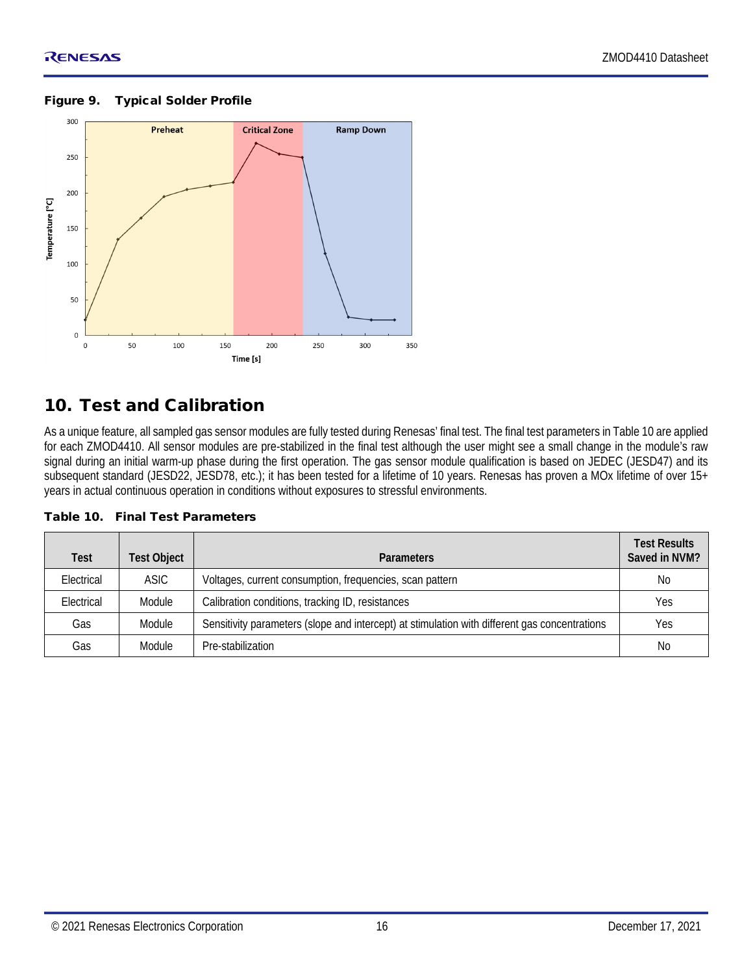

#### <span id="page-15-1"></span>Figure 9. Typical Solder Profile

#### <span id="page-15-0"></span>10. Test and Calibration

As a unique feature, all sampled gas sensor modules are fully tested during Renesas' final test. The final test parameters i[n Table 10](#page-15-2) are applied for each ZMOD4410. All sensor modules are pre-stabilized in the final test although the user might see a small change in the module's raw signal during an initial warm-up phase during the first operation. The gas sensor module qualification is based on JEDEC (JESD47) and its subsequent standard (JESD22, JESD78, etc.); it has been tested for a lifetime of 10 years. Renesas has proven a MOx lifetime of over 15+ years in actual continuous operation in conditions without exposures to stressful environments.

<span id="page-15-2"></span>

|  |  |  | Table 10. Final Test Parameters |
|--|--|--|---------------------------------|
|--|--|--|---------------------------------|

| <b>Test</b> | <b>Test Object</b> | <b>Parameters</b>                                                                             | <b>Test Results</b><br>Saved in NVM? |
|-------------|--------------------|-----------------------------------------------------------------------------------------------|--------------------------------------|
| Electrical  | <b>ASIC</b>        | Voltages, current consumption, frequencies, scan pattern                                      | No                                   |
| Electrical  | Module             | Calibration conditions, tracking ID, resistances                                              | Yes                                  |
| Gas         | Module             | Sensitivity parameters (slope and intercept) at stimulation with different gas concentrations | Yes                                  |
| Gas         | Module             | Pre-stabilization                                                                             | No                                   |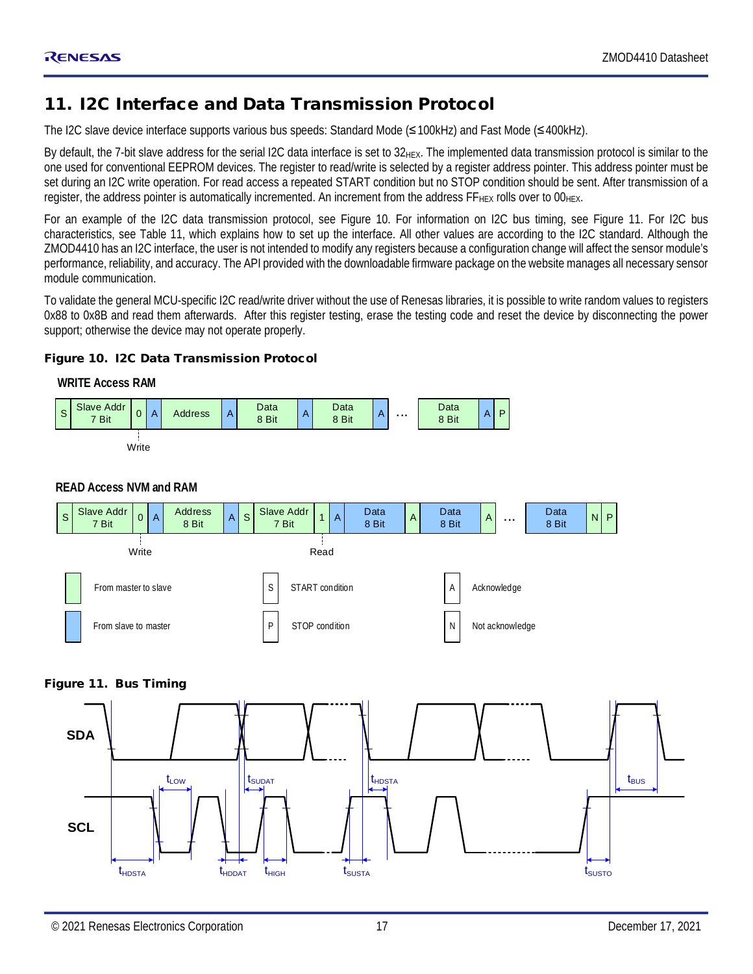#### <span id="page-16-0"></span>11. I2C Interface and Data Transmission Protocol

The I2C slave device interface supports various bus speeds: Standard Mode (≤100kHz) and Fast Mode (≤400kHz).

By default, the 7-bit slave address for the serial I2C data interface is set to  $32<sub>HEX</sub>$ . The implemented data transmission protocol is similar to the one used for conventional EEPROM devices. The register to read/write is selected by a register address pointer. This address pointer must be set during an I2C write operation. For read access a repeated START condition but no STOP condition should be sent. After transmission of a register, the address pointer is automatically incremented. An increment from the address  $FF_{HEX}$  rolls over to  $00_{HEX}$ .

For an example of the I2C data transmission protocol, see [Figure 10.](#page-16-1) For information on I2C bus timing, see [Figure 11.](#page-16-2) For I2C bus characteristics, see [Table 11,](#page-17-2) which explains how to set up the interface. All other values are according to the I2C standard. Although the ZMOD4410 has an I2C interface, the user is not intended to modify any registers because a configuration change will affect the sensor module's performance, reliability, and accuracy. The API provided with the downloadable firmware package on the website manages all necessary sensor module communication.

To validate the general MCU-specific I2C read/write driver without the use of Renesas libraries, it is possible to write random values to registers 0x88 to 0x8B and read them afterwards. After this register testing, erase the testing code and reset the device by disconnecting the power support; otherwise the device may not operate properly.

#### <span id="page-16-1"></span>Figure 10. I2C Data Transmission Protocol



#### **READ Access NVM and RAM**



#### <span id="page-16-2"></span>Figure 11. Bus Timing

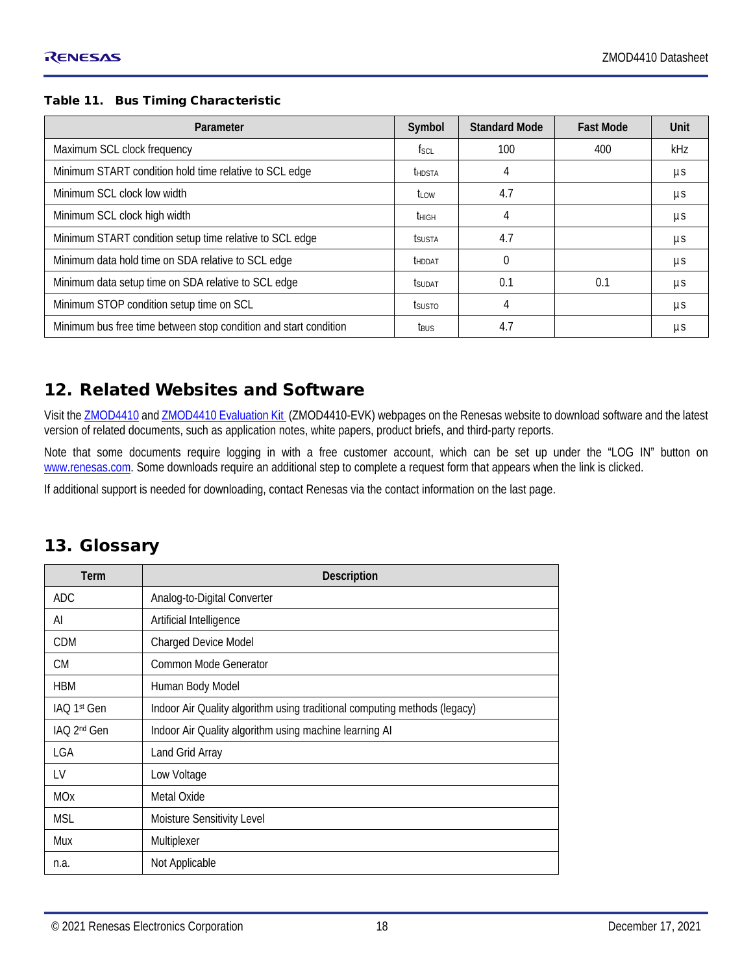#### <span id="page-17-2"></span>Table 11. Bus Timing Characteristic

| Parameter                                                        | Symbol               | <b>Standard Mode</b> | <b>Fast Mode</b> | Unit |
|------------------------------------------------------------------|----------------------|----------------------|------------------|------|
| Maximum SCL clock frequency                                      | fsci                 | 100                  | 400              | kHz  |
| Minimum START condition hold time relative to SCL edge           | <b>IHDSTA</b>        |                      |                  | μs   |
| Minimum SCL clock low width                                      | t <sub>i ow</sub>    | 4.7                  |                  | μs   |
| Minimum SCL clock high width                                     | t <sub>HIGH</sub>    | 4                    |                  | μs   |
| Minimum START condition setup time relative to SCL edge          | <b><i>ISUSTA</i></b> | 4.7                  |                  | μs   |
| Minimum data hold time on SDA relative to SCL edge               | <b>THDDAT</b>        | $\Omega$             |                  | μs   |
| Minimum data setup time on SDA relative to SCL edge              | tsudat               | 0.1                  | 0.1              | μs   |
| Minimum STOP condition setup time on SCL                         | <b>t</b> susto       | 4                    |                  | μs   |
| Minimum bus free time between stop condition and start condition | t <sub>Bus</sub>     | 4.7                  |                  | μs   |

#### <span id="page-17-0"></span>12. Related Websites and Software

Visit th[e ZMOD4410](https://www.renesas.com/zmod4410) and ZMOD4410 [Evaluation Kit \(](https://www.renesas.com/zmod4410-evk)ZMOD4410-EVK) webpages on the Renesas website to download software and the latest version of related documents, such as application notes, white papers, product briefs, and third-party reports.

Note that some documents require logging in with a free customer account, which can be set up under the "LOG IN" button on [www.renesas.com.](http://www.renesas.com/) Some downloads require an additional step to complete a request form that appears when the link is clicked.

<span id="page-17-1"></span>If additional support is needed for downloading, contact Renesas via the contact information on the last page.

#### 13. Glossary

| Term                    | <b>Description</b>                                                        |  |
|-------------------------|---------------------------------------------------------------------------|--|
| <b>ADC</b>              | Analog-to-Digital Converter                                               |  |
| AI                      | Artificial Intelligence                                                   |  |
| <b>CDM</b>              | Charged Device Model                                                      |  |
| CM.                     | Common Mode Generator                                                     |  |
| <b>HBM</b>              | Human Body Model                                                          |  |
| IAO 1st Gen             | Indoor Air Quality algorithm using traditional computing methods (legacy) |  |
| IAO 2 <sup>nd</sup> Gen | Indoor Air Quality algorithm using machine learning AI                    |  |
| LGA                     | Land Grid Array                                                           |  |
| LV                      | Low Voltage                                                               |  |
| <b>MOx</b>              | Metal Oxide                                                               |  |
| <b>MSL</b>              | Moisture Sensitivity Level                                                |  |
| Mux                     | Multiplexer                                                               |  |
| n.a.                    | Not Applicable                                                            |  |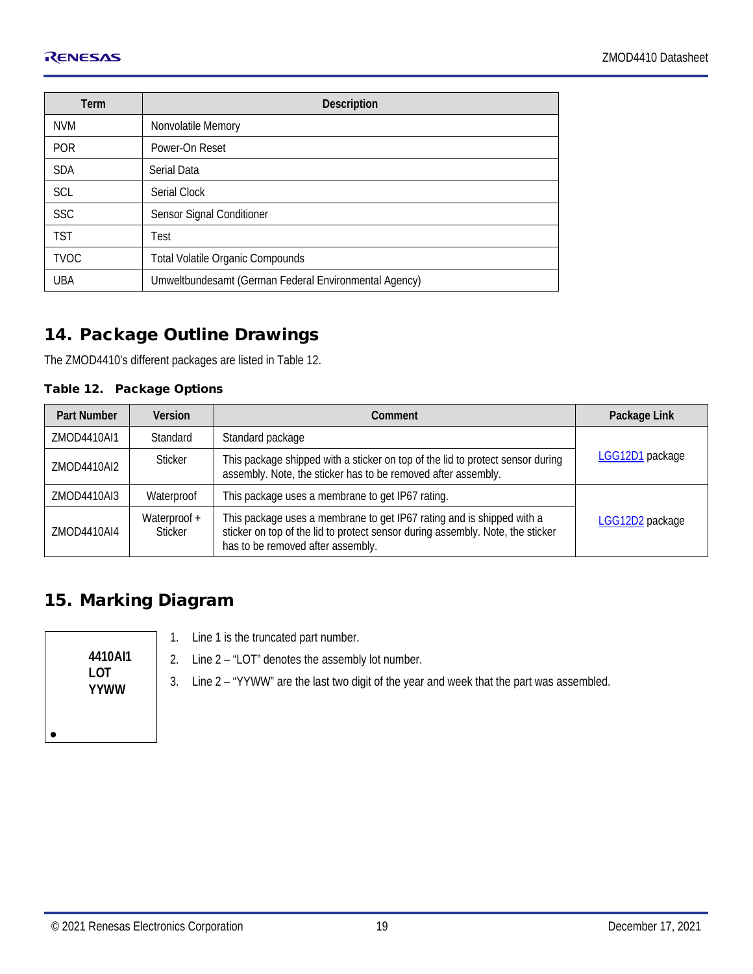| Term        | <b>Description</b>                                    |
|-------------|-------------------------------------------------------|
| <b>NVM</b>  | Nonvolatile Memory                                    |
| <b>POR</b>  | Power-On Reset                                        |
| <b>SDA</b>  | Serial Data                                           |
| <b>SCL</b>  | Serial Clock                                          |
| <b>SSC</b>  | Sensor Signal Conditioner                             |
| <b>TST</b>  | Test                                                  |
| <b>TVOC</b> | <b>Total Volatile Organic Compounds</b>               |
| <b>UBA</b>  | Umweltbundesamt (German Federal Environmental Agency) |

#### <span id="page-18-0"></span>14. Package Outline Drawings

The ZMOD4410's different packages are listed in [Table 12.](#page-18-2)

#### <span id="page-18-2"></span>Table 12. Package Options

| <b>Part Number</b> | <b>Version</b>                                                                                                                                             | Comment                                                                                                                                                                                      | Package Link    |  |
|--------------------|------------------------------------------------------------------------------------------------------------------------------------------------------------|----------------------------------------------------------------------------------------------------------------------------------------------------------------------------------------------|-----------------|--|
| ZMOD4410AI1        | Standard                                                                                                                                                   | Standard package                                                                                                                                                                             |                 |  |
| ZMOD4410AI2        | This package shipped with a sticker on top of the lid to protect sensor during<br>Sticker<br>assembly. Note, the sticker has to be removed after assembly. |                                                                                                                                                                                              | LGG12D1 package |  |
| ZMOD4410AI3        | Waterproof                                                                                                                                                 | This package uses a membrane to get IP67 rating.                                                                                                                                             |                 |  |
| ZMOD4410AI4        | Waterproof +<br>Sticker                                                                                                                                    | This package uses a membrane to get IP67 rating and is shipped with a<br>sticker on top of the lid to protect sensor during assembly. Note, the sticker<br>has to be removed after assembly. | LGG12D2 package |  |

#### <span id="page-18-1"></span>15. Marking Diagram

|--|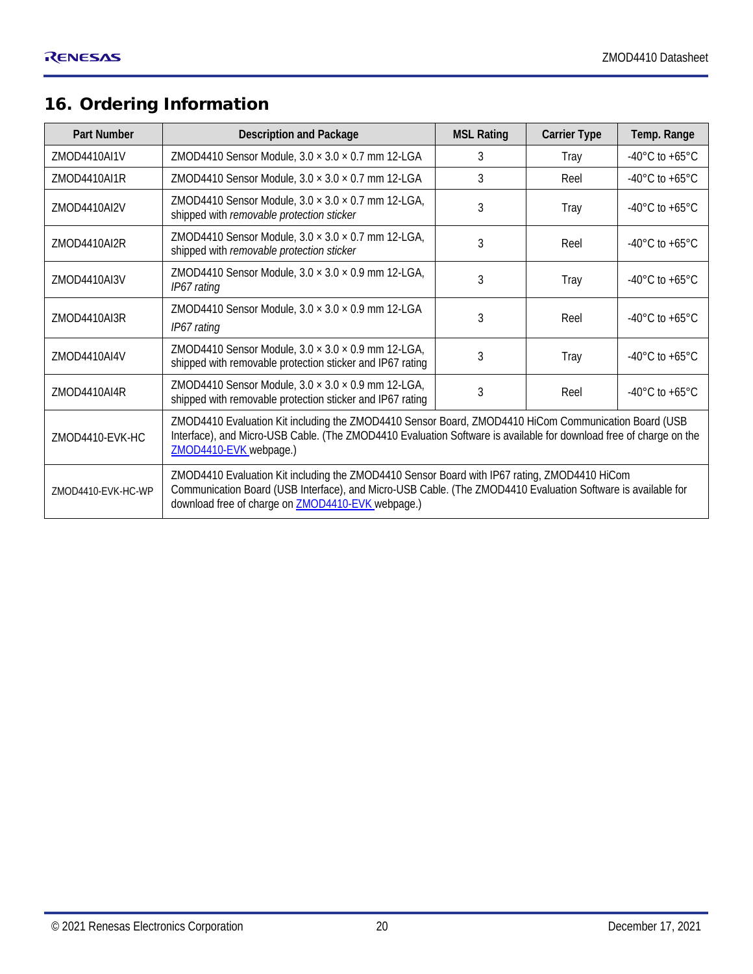### <span id="page-19-0"></span>16. Ordering Information

| <b>Part Number</b>                                                                                                          | <b>Description and Package</b>                                                                                                                                                                                                                                           | <b>MSL Rating</b> | <b>Carrier Type</b> | Temp. Range                        |
|-----------------------------------------------------------------------------------------------------------------------------|--------------------------------------------------------------------------------------------------------------------------------------------------------------------------------------------------------------------------------------------------------------------------|-------------------|---------------------|------------------------------------|
| ZMOD4410AI1V                                                                                                                | ZMOD4410 Sensor Module, $3.0 \times 3.0 \times 0.7$ mm 12-LGA                                                                                                                                                                                                            | 3                 | Tray                | $-40^{\circ}$ C to $+65^{\circ}$ C |
| 7MOD4410AI1R                                                                                                                | ZMOD4410 Sensor Module, $3.0 \times 3.0 \times 0.7$ mm 12-LGA                                                                                                                                                                                                            | 3                 | Reel                | $-40^{\circ}$ C to $+65^{\circ}$ C |
| ZMOD4410AI2V                                                                                                                | ZMOD4410 Sensor Module, $3.0 \times 3.0 \times 0.7$ mm 12-LGA,<br>shipped with removable protection sticker                                                                                                                                                              |                   | Tray                | $-40^{\circ}$ C to $+65^{\circ}$ C |
| ZMOD4410 Sensor Module, $3.0 \times 3.0 \times 0.7$ mm 12-LGA,<br>ZMOD4410AI2R<br>shipped with removable protection sticker |                                                                                                                                                                                                                                                                          | 3                 | Reel                | $-40^{\circ}$ C to $+65^{\circ}$ C |
| 7MOD4410AI3V                                                                                                                | ZMOD4410 Sensor Module, $3.0 \times 3.0 \times 0.9$ mm 12-LGA,<br>IP67 rating                                                                                                                                                                                            | 3                 | Tray                | $-40^{\circ}$ C to $+65^{\circ}$ C |
| ZMOD4410AI3R                                                                                                                | ZMOD4410 Sensor Module, $3.0 \times 3.0 \times 0.9$ mm 12-LGA<br>IP67 rating                                                                                                                                                                                             | 3                 | Reel                | $-40^{\circ}$ C to $+65^{\circ}$ C |
| ZMOD4410AI4V                                                                                                                | ZMOD4410 Sensor Module, $3.0 \times 3.0 \times 0.9$ mm 12-LGA,<br>shipped with removable protection sticker and IP67 rating                                                                                                                                              | 3                 | Tray                | $-40^{\circ}$ C to $+65^{\circ}$ C |
| ZMOD4410AI4R                                                                                                                | ZMOD4410 Sensor Module, $3.0 \times 3.0 \times 0.9$ mm 12-LGA,<br>shipped with removable protection sticker and IP67 rating                                                                                                                                              | 3                 | Reel                | $-40^{\circ}$ C to $+65^{\circ}$ C |
| 7MOD4410-FVK-HC                                                                                                             | ZMOD4410 Evaluation Kit including the ZMOD4410 Sensor Board, ZMOD4410 HiCom Communication Board (USB<br>Interface), and Micro-USB Cable. (The ZMOD4410 Evaluation Software is available for download free of charge on the<br>ZMOD4410-EVK webpage.)                     |                   |                     |                                    |
| ZMOD4410-EVK-HC-WP                                                                                                          | ZMOD4410 Evaluation Kit including the ZMOD4410 Sensor Board with IP67 rating, ZMOD4410 HiCom<br>Communication Board (USB Interface), and Micro-USB Cable. (The ZMOD4410 Evaluation Software is available for<br>download free of charge on <b>ZMOD4410-EVK</b> webpage.) |                   |                     |                                    |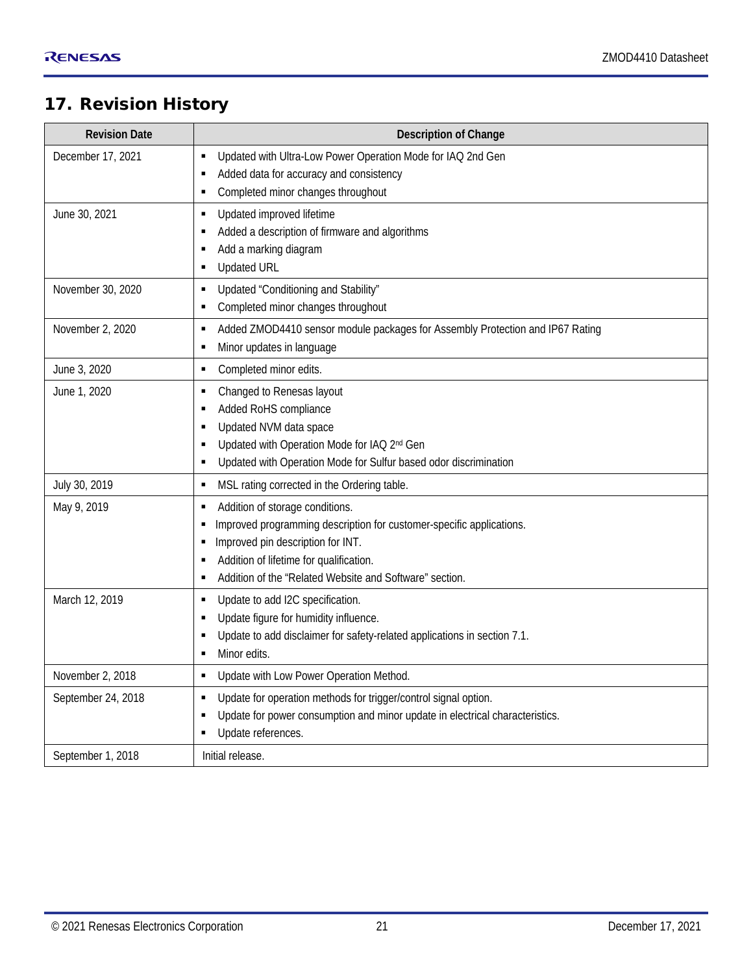#### <span id="page-20-0"></span>17. Revision History

| <b>Revision Date</b> | <b>Description of Change</b>                                                                                      |
|----------------------|-------------------------------------------------------------------------------------------------------------------|
| December 17, 2021    | Updated with Ultra-Low Power Operation Mode for IAQ 2nd Gen<br>٠                                                  |
|                      | Added data for accuracy and consistency                                                                           |
|                      | Completed minor changes throughout                                                                                |
| June 30, 2021        | Updated improved lifetime<br>٠                                                                                    |
|                      | Added a description of firmware and algorithms                                                                    |
|                      | Add a marking diagram<br>٠<br><b>Updated URL</b>                                                                  |
|                      | ٠                                                                                                                 |
| November 30, 2020    | Updated "Conditioning and Stability"<br>٠                                                                         |
|                      | Completed minor changes throughout                                                                                |
| November 2, 2020     | Added ZMOD4410 sensor module packages for Assembly Protection and IP67 Rating<br>٠<br>Minor updates in language   |
|                      | п<br>٠                                                                                                            |
| June 3, 2020         | Completed minor edits.                                                                                            |
| June 1, 2020         | Changed to Renesas layout<br>٠<br>Added RoHS compliance                                                           |
|                      | Updated NVM data space                                                                                            |
|                      | Updated with Operation Mode for IAQ 2nd Gen                                                                       |
|                      | Updated with Operation Mode for Sulfur based odor discrimination                                                  |
| July 30, 2019        | MSL rating corrected in the Ordering table.<br>٠                                                                  |
| May 9, 2019          | Addition of storage conditions.                                                                                   |
|                      | Improved programming description for customer-specific applications.                                              |
|                      | Improved pin description for INT.                                                                                 |
|                      | Addition of lifetime for qualification.<br>٠                                                                      |
|                      | Addition of the "Related Website and Software" section.                                                           |
| March 12, 2019       | Update to add I2C specification.                                                                                  |
|                      | Update figure for humidity influence.<br>Update to add disclaimer for safety-related applications in section 7.1. |
|                      | Minor edits.<br>п                                                                                                 |
| November 2, 2018     | Update with Low Power Operation Method.<br>٠                                                                      |
| September 24, 2018   | Update for operation methods for trigger/control signal option.<br>٠                                              |
|                      | Update for power consumption and minor update in electrical characteristics.                                      |
|                      | Update references.                                                                                                |
| September 1, 2018    | Initial release.                                                                                                  |